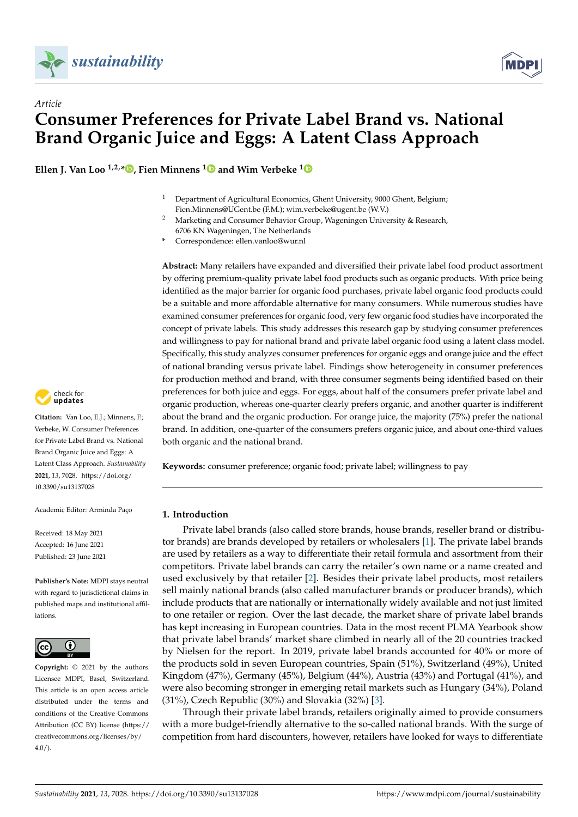

*Article*



# **Consumer Preferences for Private Label Brand vs. National Brand Organic Juice and Eggs: A Latent Class Approach**

**Ellen J. Van Loo**  $^{1,2,*}$  $^{1,2,*}$  $^{1,2,*}$  **D**, Fien Minnens  $^{1}$  $^{1}$  $^{1}$  **D** and Wim Verbeke  $^{1}$  **D** 

- <sup>1</sup> Department of Agricultural Economics, Ghent University, 9000 Ghent, Belgium; Fien.Minnens@UGent.be (F.M.); wim.verbeke@ugent.be (W.V.)
- <sup>2</sup> Marketing and Consumer Behavior Group, Wageningen University & Research, 6706 KN Wageningen, The Netherlands
- **\*** Correspondence: ellen.vanloo@wur.nl

**Abstract:** Many retailers have expanded and diversified their private label food product assortment by offering premium-quality private label food products such as organic products. With price being identified as the major barrier for organic food purchases, private label organic food products could be a suitable and more affordable alternative for many consumers. While numerous studies have examined consumer preferences for organic food, very few organic food studies have incorporated the concept of private labels. This study addresses this research gap by studying consumer preferences and willingness to pay for national brand and private label organic food using a latent class model. Specifically, this study analyzes consumer preferences for organic eggs and orange juice and the effect of national branding versus private label. Findings show heterogeneity in consumer preferences for production method and brand, with three consumer segments being identified based on their preferences for both juice and eggs. For eggs, about half of the consumers prefer private label and organic production, whereas one-quarter clearly prefers organic, and another quarter is indifferent about the brand and the organic production. For orange juice, the majority (75%) prefer the national brand. In addition, one-quarter of the consumers prefers organic juice, and about one-third values both organic and the national brand.

**Keywords:** consumer preference; organic food; private label; willingness to pay

# **1. Introduction**

Private label brands (also called store brands, house brands, reseller brand or distributor brands) are brands developed by retailers or wholesalers [\[1\]](#page-10-0). The private label brands are used by retailers as a way to differentiate their retail formula and assortment from their competitors. Private label brands can carry the retailer's own name or a name created and used exclusively by that retailer [\[2\]](#page-10-1). Besides their private label products, most retailers sell mainly national brands (also called manufacturer brands or producer brands), which include products that are nationally or internationally widely available and not just limited to one retailer or region. Over the last decade, the market share of private label brands has kept increasing in European countries. Data in the most recent PLMA Yearbook show that private label brands' market share climbed in nearly all of the 20 countries tracked by Nielsen for the report. In 2019, private label brands accounted for 40% or more of the products sold in seven European countries, Spain (51%), Switzerland (49%), United Kingdom (47%), Germany (45%), Belgium (44%), Austria (43%) and Portugal (41%), and were also becoming stronger in emerging retail markets such as Hungary (34%), Poland (31%), Czech Republic (30%) and Slovakia (32%) [\[3\]](#page-10-2).

Through their private label brands, retailers originally aimed to provide consumers with a more budget-friendly alternative to the so-called national brands. With the surge of competition from hard discounters, however, retailers have looked for ways to differentiate



**Citation:** Van Loo, E.J.; Minnens, F.; Verbeke, W. Consumer Preferences for Private Label Brand vs. National Brand Organic Juice and Eggs: A Latent Class Approach. *Sustainability* **2021**, *13*, 7028. [https://doi.org/](https://doi.org/10.3390/su13137028) [10.3390/su13137028](https://doi.org/10.3390/su13137028)

Academic Editor: Arminda Paço

Received: 18 May 2021 Accepted: 16 June 2021 Published: 23 June 2021

**Publisher's Note:** MDPI stays neutral with regard to jurisdictional claims in published maps and institutional affiliations.



**Copyright:** © 2021 by the authors. Licensee MDPI, Basel, Switzerland. This article is an open access article distributed under the terms and conditions of the Creative Commons Attribution (CC BY) license (https:/[/](https://creativecommons.org/licenses/by/4.0/) [creativecommons.org/licenses/by/](https://creativecommons.org/licenses/by/4.0/)  $4.0/$ ).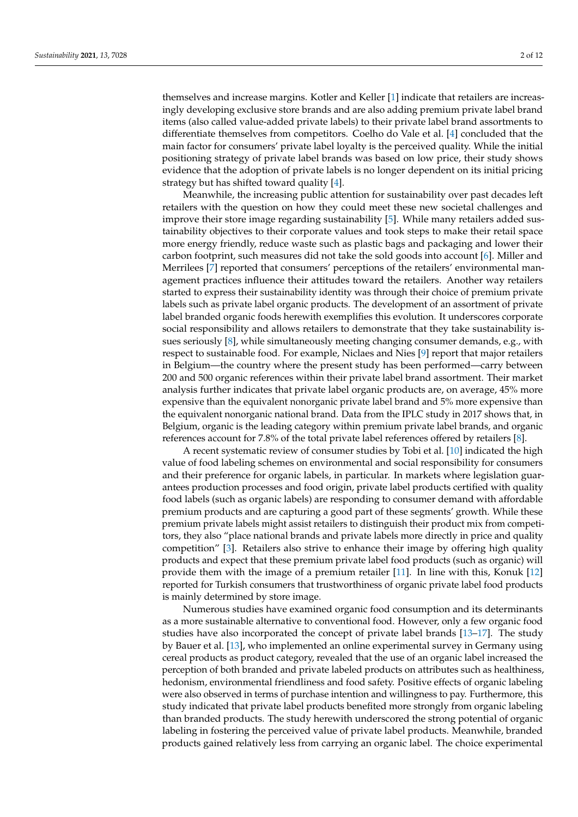themselves and increase margins. Kotler and Keller [\[1\]](#page-10-0) indicate that retailers are increasingly developing exclusive store brands and are also adding premium private label brand items (also called value-added private labels) to their private label brand assortments to differentiate themselves from competitors. Coelho do Vale et al. [\[4\]](#page-10-3) concluded that the main factor for consumers' private label loyalty is the perceived quality. While the initial positioning strategy of private label brands was based on low price, their study shows evidence that the adoption of private labels is no longer dependent on its initial pricing strategy but has shifted toward quality [\[4\]](#page-10-3).

Meanwhile, the increasing public attention for sustainability over past decades left retailers with the question on how they could meet these new societal challenges and improve their store image regarding sustainability [\[5\]](#page-10-4). While many retailers added sustainability objectives to their corporate values and took steps to make their retail space more energy friendly, reduce waste such as plastic bags and packaging and lower their carbon footprint, such measures did not take the sold goods into account [\[6\]](#page-10-5). Miller and Merrilees [\[7\]](#page-10-6) reported that consumers' perceptions of the retailers' environmental management practices influence their attitudes toward the retailers. Another way retailers started to express their sustainability identity was through their choice of premium private labels such as private label organic products. The development of an assortment of private label branded organic foods herewith exemplifies this evolution. It underscores corporate social responsibility and allows retailers to demonstrate that they take sustainability issues seriously [\[8\]](#page-10-7), while simultaneously meeting changing consumer demands, e.g., with respect to sustainable food. For example, Niclaes and Nies [\[9\]](#page-11-0) report that major retailers in Belgium—the country where the present study has been performed—carry between 200 and 500 organic references within their private label brand assortment. Their market analysis further indicates that private label organic products are, on average, 45% more expensive than the equivalent nonorganic private label brand and 5% more expensive than the equivalent nonorganic national brand. Data from the IPLC study in 2017 shows that, in Belgium, organic is the leading category within premium private label brands, and organic references account for 7.8% of the total private label references offered by retailers [\[8\]](#page-10-7).

A recent systematic review of consumer studies by Tobi et al. [\[10\]](#page-11-1) indicated the high value of food labeling schemes on environmental and social responsibility for consumers and their preference for organic labels, in particular. In markets where legislation guarantees production processes and food origin, private label products certified with quality food labels (such as organic labels) are responding to consumer demand with affordable premium products and are capturing a good part of these segments' growth. While these premium private labels might assist retailers to distinguish their product mix from competitors, they also "place national brands and private labels more directly in price and quality competition" [\[3\]](#page-10-2). Retailers also strive to enhance their image by offering high quality products and expect that these premium private label food products (such as organic) will provide them with the image of a premium retailer [\[11\]](#page-11-2). In line with this, Konuk [\[12\]](#page-11-3) reported for Turkish consumers that trustworthiness of organic private label food products is mainly determined by store image.

Numerous studies have examined organic food consumption and its determinants as a more sustainable alternative to conventional food. However, only a few organic food studies have also incorporated the concept of private label brands [\[13–](#page-11-4)[17\]](#page-11-5). The study by Bauer et al. [\[13\]](#page-11-4), who implemented an online experimental survey in Germany using cereal products as product category, revealed that the use of an organic label increased the perception of both branded and private labeled products on attributes such as healthiness, hedonism, environmental friendliness and food safety. Positive effects of organic labeling were also observed in terms of purchase intention and willingness to pay. Furthermore, this study indicated that private label products benefited more strongly from organic labeling than branded products. The study herewith underscored the strong potential of organic labeling in fostering the perceived value of private label products. Meanwhile, branded products gained relatively less from carrying an organic label. The choice experimental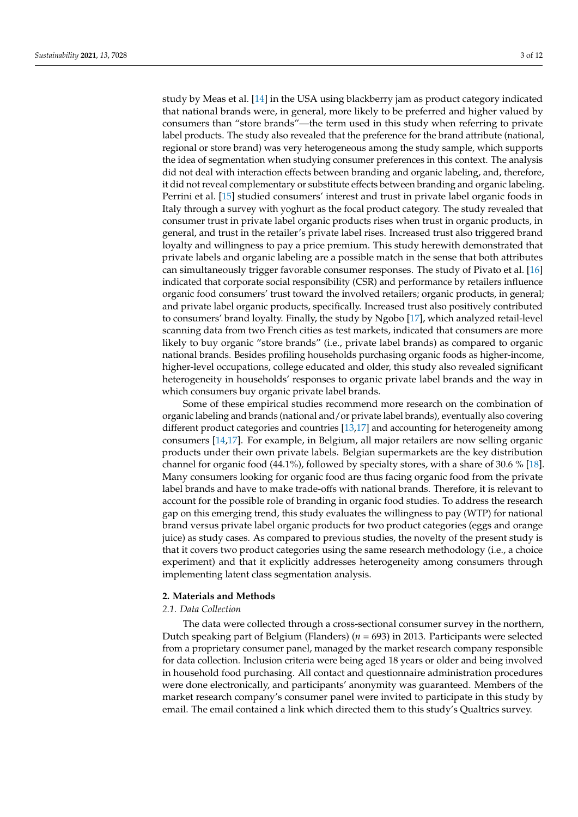study by Meas et al. [\[14\]](#page-11-6) in the USA using blackberry jam as product category indicated that national brands were, in general, more likely to be preferred and higher valued by consumers than "store brands"—the term used in this study when referring to private label products. The study also revealed that the preference for the brand attribute (national, regional or store brand) was very heterogeneous among the study sample, which supports the idea of segmentation when studying consumer preferences in this context. The analysis did not deal with interaction effects between branding and organic labeling, and, therefore, it did not reveal complementary or substitute effects between branding and organic labeling. Perrini et al. [\[15\]](#page-11-7) studied consumers' interest and trust in private label organic foods in Italy through a survey with yoghurt as the focal product category. The study revealed that consumer trust in private label organic products rises when trust in organic products, in general, and trust in the retailer's private label rises. Increased trust also triggered brand loyalty and willingness to pay a price premium. This study herewith demonstrated that private labels and organic labeling are a possible match in the sense that both attributes can simultaneously trigger favorable consumer responses. The study of Pivato et al. [\[16\]](#page-11-8) indicated that corporate social responsibility (CSR) and performance by retailers influence organic food consumers' trust toward the involved retailers; organic products, in general; and private label organic products, specifically. Increased trust also positively contributed to consumers' brand loyalty. Finally, the study by Ngobo [\[17\]](#page-11-5), which analyzed retail-level scanning data from two French cities as test markets, indicated that consumers are more likely to buy organic "store brands" (i.e., private label brands) as compared to organic national brands. Besides profiling households purchasing organic foods as higher-income, higher-level occupations, college educated and older, this study also revealed significant heterogeneity in households' responses to organic private label brands and the way in which consumers buy organic private label brands.

Some of these empirical studies recommend more research on the combination of organic labeling and brands (national and/or private label brands), eventually also covering different product categories and countries [\[13](#page-11-4)[,17\]](#page-11-5) and accounting for heterogeneity among consumers [\[14,](#page-11-6)[17\]](#page-11-5). For example, in Belgium, all major retailers are now selling organic products under their own private labels. Belgian supermarkets are the key distribution channel for organic food (44.1%), followed by specialty stores, with a share of 30.6 % [\[18\]](#page-11-9). Many consumers looking for organic food are thus facing organic food from the private label brands and have to make trade-offs with national brands. Therefore, it is relevant to account for the possible role of branding in organic food studies. To address the research gap on this emerging trend, this study evaluates the willingness to pay (WTP) for national brand versus private label organic products for two product categories (eggs and orange juice) as study cases. As compared to previous studies, the novelty of the present study is that it covers two product categories using the same research methodology (i.e., a choice experiment) and that it explicitly addresses heterogeneity among consumers through implementing latent class segmentation analysis.

## **2. Materials and Methods**

### *2.1. Data Collection*

The data were collected through a cross-sectional consumer survey in the northern, Dutch speaking part of Belgium (Flanders) (*n* = 693) in 2013. Participants were selected from a proprietary consumer panel, managed by the market research company responsible for data collection. Inclusion criteria were being aged 18 years or older and being involved in household food purchasing. All contact and questionnaire administration procedures were done electronically, and participants' anonymity was guaranteed. Members of the market research company's consumer panel were invited to participate in this study by email. The email contained a link which directed them to this study's Qualtrics survey.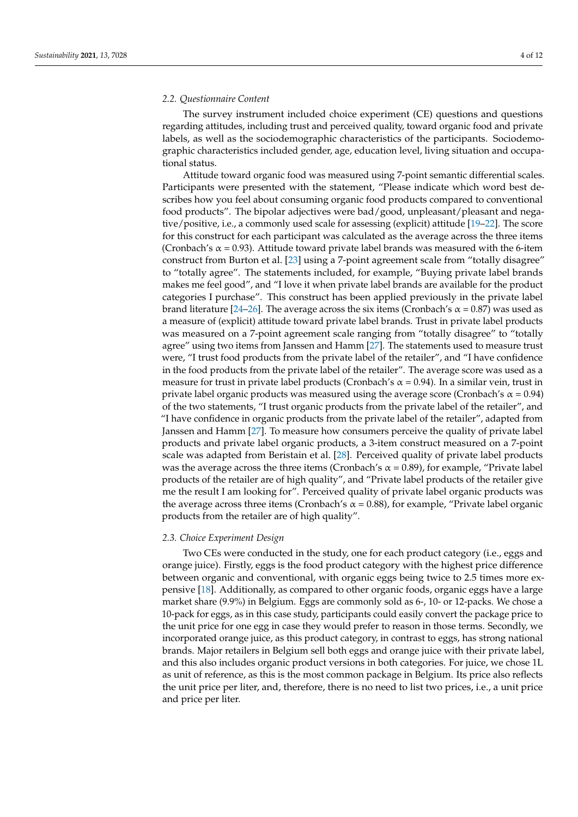#### *2.2. Questionnaire Content*

The survey instrument included choice experiment (CE) questions and questions regarding attitudes, including trust and perceived quality, toward organic food and private labels, as well as the sociodemographic characteristics of the participants. Sociodemographic characteristics included gender, age, education level, living situation and occupational status.

Attitude toward organic food was measured using 7-point semantic differential scales. Participants were presented with the statement, "Please indicate which word best describes how you feel about consuming organic food products compared to conventional food products". The bipolar adjectives were bad/good, unpleasant/pleasant and negative/positive, i.e., a commonly used scale for assessing (explicit) attitude [\[19–](#page-11-10)[22\]](#page-11-11). The score for this construct for each participant was calculated as the average across the three items (Cronbach's  $\alpha$  = 0.93). Attitude toward private label brands was measured with the 6-item construct from Burton et al. [\[23\]](#page-11-12) using a 7-point agreement scale from "totally disagree" to "totally agree". The statements included, for example, "Buying private label brands makes me feel good", and "I love it when private label brands are available for the product categories I purchase". This construct has been applied previously in the private label brand literature [\[24](#page-11-13)[–26\]](#page-11-14). The average across the six items (Cronbach's  $\alpha$  = 0.87) was used as a measure of (explicit) attitude toward private label brands. Trust in private label products was measured on a 7-point agreement scale ranging from "totally disagree" to "totally agree" using two items from Janssen and Hamm [\[27\]](#page-11-15). The statements used to measure trust were, "I trust food products from the private label of the retailer", and "I have confidence in the food products from the private label of the retailer". The average score was used as a measure for trust in private label products (Cronbach's  $\alpha$  = 0.94). In a similar vein, trust in private label organic products was measured using the average score (Cronbach's  $\alpha$  = 0.94) of the two statements, "I trust organic products from the private label of the retailer", and "I have confidence in organic products from the private label of the retailer", adapted from Janssen and Hamm [\[27\]](#page-11-15). To measure how consumers perceive the quality of private label products and private label organic products, a 3-item construct measured on a 7-point scale was adapted from Beristain et al. [\[28\]](#page-11-16). Perceived quality of private label products was the average across the three items (Cronbach's  $\alpha$  = 0.89), for example, "Private label products of the retailer are of high quality", and "Private label products of the retailer give me the result I am looking for". Perceived quality of private label organic products was the average across three items (Cronbach's  $\alpha$  = 0.88), for example, "Private label organic products from the retailer are of high quality".

#### *2.3. Choice Experiment Design*

Two CEs were conducted in the study, one for each product category (i.e., eggs and orange juice). Firstly, eggs is the food product category with the highest price difference between organic and conventional, with organic eggs being twice to 2.5 times more expensive [\[18\]](#page-11-9). Additionally, as compared to other organic foods, organic eggs have a large market share (9.9%) in Belgium. Eggs are commonly sold as 6-, 10- or 12-packs. We chose a 10-pack for eggs, as in this case study, participants could easily convert the package price to the unit price for one egg in case they would prefer to reason in those terms. Secondly, we incorporated orange juice, as this product category, in contrast to eggs, has strong national brands. Major retailers in Belgium sell both eggs and orange juice with their private label, and this also includes organic product versions in both categories. For juice, we chose 1L as unit of reference, as this is the most common package in Belgium. Its price also reflects the unit price per liter, and, therefore, there is no need to list two prices, i.e., a unit price and price per liter.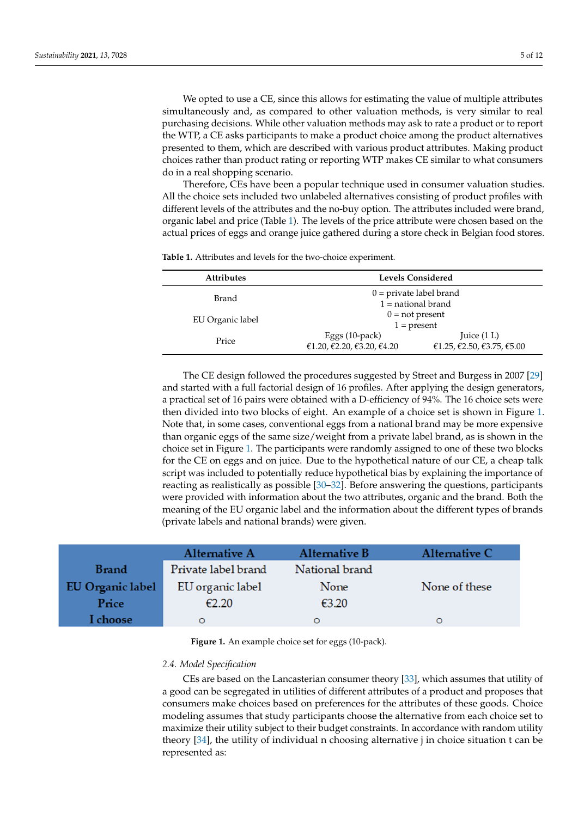We opted to use a CE, since this allows for estimating the value of multiple attributes simultaneously and, as compared to other valuation methods, is very similar to real purchasing decisions. While other valuation methods may ask to rate a product or to report the WTP, a CE asks participants to make a product choice among the product alternatives presented to them, which are described with various product attributes. Making product choices rather than product rating or reporting WTP makes CE similar to what consumers do in a real shopping scenario.

Therefore, CEs have been a popular technique used in consumer valuation studies. All the choice sets included two unlabeled alternatives consisting of product profiles with different levels of the attributes and the no-buy option. The attributes included were brand, organic label and price (Table [1\)](#page-4-0). The levels of the price attribute were chosen based on the actual prices of eggs and orange juice gathered during a store check in Belgian food stores.

| <b>Attributes</b> | <b>Levels Considered</b>   |                            |  |  |  |
|-------------------|----------------------------|----------------------------|--|--|--|
| Brand             |                            | $0 =$ private label brand  |  |  |  |
|                   |                            | $1$ = national brand       |  |  |  |
|                   | $0 = not present$          |                            |  |  |  |
| EU Organic label  | $1 = present$              |                            |  |  |  |
|                   | Eggs $(10$ -pack $)$       | Juice $(1 L)$              |  |  |  |
| Price             | €1.20, €2.20, €3.20, €4.20 | €1.25, €2.50, €3.75, €5.00 |  |  |  |
|                   |                            |                            |  |  |  |

<span id="page-4-0"></span>**Table 1.** Attributes and levels for the two-choice experiment.

The CE design followed the procedures suggested by Street and Burgess in 2007 [\[29\]](#page-11-17) and started with a full factorial design of 16 profiles. After applying the design generators, a practical set of 16 pairs were obtained with a D-efficiency of 94%. The 16 choice sets were then divided into two blocks of eight. An example of a choice set is shown in Figure [1.](#page-4-1) Note that, in some cases, conventional eggs from a national brand may be more expensive than organic eggs of the same size/weight from a private label brand, as is shown in the choice set in Figure [1.](#page-4-1) The participants were randomly assigned to one of these two blocks for the CE on eggs and on juice. Due to the hypothetical nature of our CE, a cheap talk script was included to potentially reduce hypothetical bias by explaining the importance of reacting as realistically as possible [\[30](#page-11-18)[–32\]](#page-11-19). Before answering the questions, participants were provided with information about the two attributes, organic and the brand. Both the meaning of the EU organic label and the information about the different types of brands (private labels and national brands) were given.

<span id="page-4-1"></span>

|                         | Alternative A       | Alternative B  | Alternative C |
|-------------------------|---------------------|----------------|---------------|
| <b>Brand</b>            | Private label brand | National brand |               |
| <b>EU Organic label</b> | EU organic label    | None           | None of these |
| Price                   | €2.20               | €3.20          |               |
| I choose                | $\circ$             | O              | O             |

**Figure 1.** An example choice set for eggs (10-pack).

# *2.4. Model Specification*

CEs are based on the Lancasterian consumer theory [\[33\]](#page-11-20), which assumes that utility of a good can be segregated in utilities of different attributes of a product and proposes that consumers make choices based on preferences for the attributes of these goods. Choice modeling assumes that study participants choose the alternative from each choice set to maximize their utility subject to their budget constraints. In accordance with random utility theory [\[34\]](#page-11-21), the utility of individual n choosing alternative j in choice situation t can be represented as: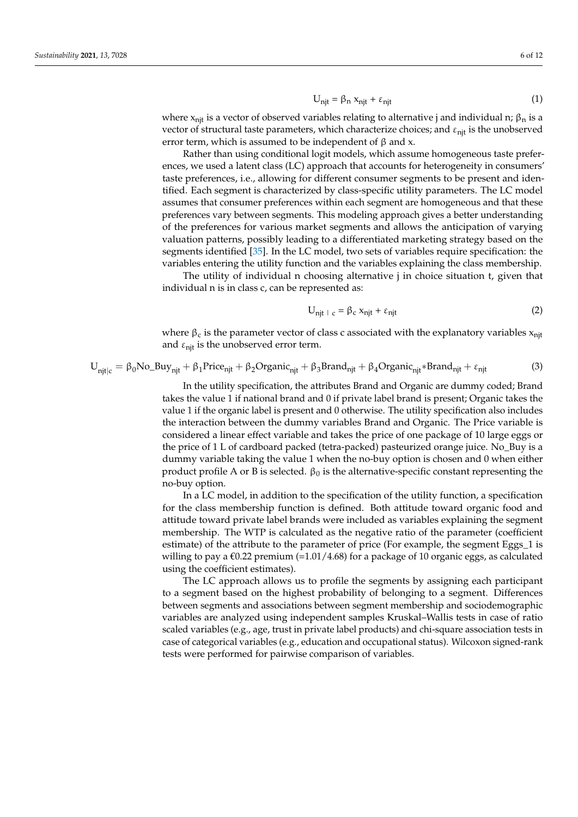$$
U_{njt} = \beta_n x_{njt} + \varepsilon_{njt}
$$
 (1)

where  $x_{n,i}$  is a vector of observed variables relating to alternative j and individual n;  $\beta_n$  is a vector of structural taste parameters, which characterize choices; and  $\varepsilon_{\text{nit}}$  is the unobserved error term, which is assumed to be independent of  $\beta$  and x.

Rather than using conditional logit models, which assume homogeneous taste preferences, we used a latent class (LC) approach that accounts for heterogeneity in consumers' taste preferences, i.e., allowing for different consumer segments to be present and identified. Each segment is characterized by class-specific utility parameters. The LC model assumes that consumer preferences within each segment are homogeneous and that these preferences vary between segments. This modeling approach gives a better understanding of the preferences for various market segments and allows the anticipation of varying valuation patterns, possibly leading to a differentiated marketing strategy based on the segments identified [\[35\]](#page-11-22). In the LC model, two sets of variables require specification: the variables entering the utility function and the variables explaining the class membership.

The utility of individual n choosing alternative j in choice situation t, given that individual n is in class c, can be represented as:

$$
U_{\text{njt} + c} = \beta_c x_{\text{njt}} + \varepsilon_{\text{njt}} \tag{2}
$$

where  $\beta_c$  is the parameter vector of class c associated with the explanatory variables  $x_{njt}$ and  $\varepsilon$ <sub>nit</sub> is the unobserved error term.

$$
U_{njt|c} = \beta_0 No_B u y_{njt} + \beta_1 Price_{njt} + \beta_2 Organic_{njt} + \beta_3 Brand_{njt} + \beta_4 Organic_{njt} * Brand_{njt} + \epsilon_{njt}
$$
(3)

In the utility specification, the attributes Brand and Organic are dummy coded; Brand takes the value 1 if national brand and 0 if private label brand is present; Organic takes the value 1 if the organic label is present and 0 otherwise. The utility specification also includes the interaction between the dummy variables Brand and Organic. The Price variable is considered a linear effect variable and takes the price of one package of 10 large eggs or the price of 1 L of cardboard packed (tetra-packed) pasteurized orange juice. No\_Buy is a dummy variable taking the value 1 when the no-buy option is chosen and 0 when either product profile A or B is selected.  $\beta_0$  is the alternative-specific constant representing the no-buy option.

In a LC model, in addition to the specification of the utility function, a specification for the class membership function is defined. Both attitude toward organic food and attitude toward private label brands were included as variables explaining the segment membership. The WTP is calculated as the negative ratio of the parameter (coefficient estimate) of the attribute to the parameter of price (For example, the segment Eggs\_1 is willing to pay a  $\epsilon$ 0.22 premium (=1.01/4.68) for a package of 10 organic eggs, as calculated using the coefficient estimates).

The LC approach allows us to profile the segments by assigning each participant to a segment based on the highest probability of belonging to a segment. Differences between segments and associations between segment membership and sociodemographic variables are analyzed using independent samples Kruskal–Wallis tests in case of ratio scaled variables (e.g., age, trust in private label products) and chi-square association tests in case of categorical variables (e.g., education and occupational status). Wilcoxon signed-rank tests were performed for pairwise comparison of variables.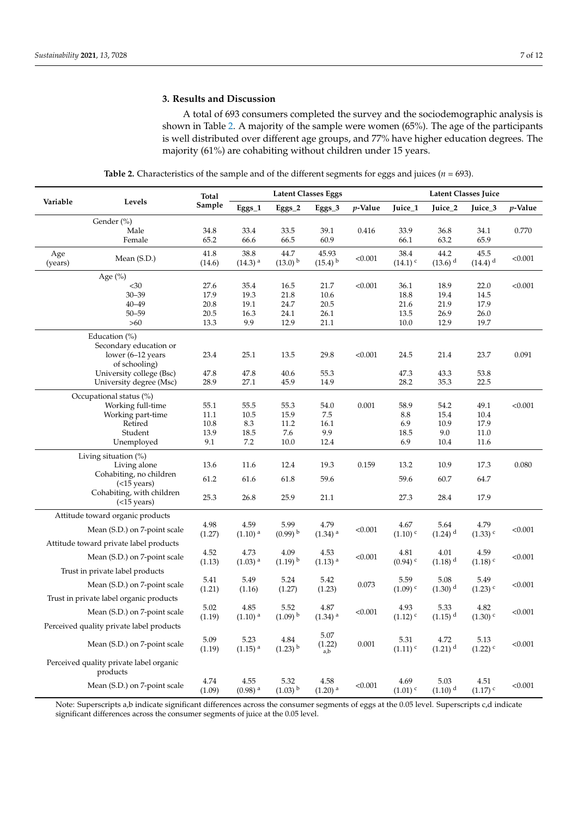# **3. Results and Discussion**

A total of 693 consumers completed the survey and the sociodemographic analysis is shown in Table [2.](#page-6-0) A majority of the sample were women (65%). The age of the participants is well distributed over different age groups, and 77% have higher education degrees. The majority (61%) are cohabiting without children under 15 years.

| Table 2. Characteristics of the sample and of the different segments for eggs and juices ( $n = 693$ ). |  |  |  |
|---------------------------------------------------------------------------------------------------------|--|--|--|
|---------------------------------------------------------------------------------------------------------|--|--|--|

<span id="page-6-0"></span>

| <b>Latent Classes Eggs</b><br>Total |                                                     |                | Latent Classes Juice          |                               |                                |            |                               |                               |                               |         |
|-------------------------------------|-----------------------------------------------------|----------------|-------------------------------|-------------------------------|--------------------------------|------------|-------------------------------|-------------------------------|-------------------------------|---------|
| Variable                            | Levels                                              | Sample         | Eggs_1                        | Eggs_2                        | Eggs_3                         | $p$ -Value | Juice_1                       | Juice_2                       | Juice_3                       | p-Value |
|                                     | Gender (%)                                          |                |                               |                               |                                |            |                               |                               |                               |         |
|                                     | Male                                                | 34.8           | 33.4                          | 33.5                          | 39.1                           | 0.416      | 33.9                          | 36.8                          | 34.1                          | 0.770   |
|                                     | Female                                              | 65.2           | 66.6                          | 66.5                          | 60.9                           |            | 66.1                          | 63.2                          | 65.9                          |         |
| Age<br>(years)                      | Mean (S.D.)                                         | 41.8<br>(14.6) | 38.8<br>$(14.3)$ <sup>a</sup> | 44.7<br>$(13.0)$ <sup>b</sup> | 45.93<br>$(15.4)$ <sup>b</sup> | < 0.001    | 38.4<br>$(14.1)$ <sup>c</sup> | 44.2<br>$(13.6)$ <sup>d</sup> | 45.5<br>$(14.4)$ <sup>d</sup> | < 0.001 |
|                                     | Age $(\%)$                                          |                |                               |                               |                                |            |                               |                               |                               |         |
|                                     | $30$                                                | 27.6           | 35.4                          | 16.5                          | 21.7                           | < 0.001    | 36.1                          | 18.9                          | 22.0                          | < 0.001 |
|                                     | $30 - 39$                                           | 17.9           | 19.3                          | 21.8                          | 10.6                           |            | 18.8                          | 19.4                          | 14.5                          |         |
|                                     | $40 - 49$                                           | 20.8           | 19.1                          | 24.7                          | 20.5                           |            | 21.6                          | 21.9                          | 17.9                          |         |
|                                     | $50 - 59$<br>$>60$                                  | 20.5<br>13.3   | 16.3<br>9.9                   | 24.1<br>12.9                  | 26.1<br>21.1                   |            | 13.5<br>10.0                  | 26.9<br>12.9                  | 26.0<br>19.7                  |         |
|                                     |                                                     |                |                               |                               |                                |            |                               |                               |                               |         |
|                                     | Education (%)<br>Secondary education or             |                |                               |                               |                                |            |                               |                               |                               |         |
|                                     | lower (6-12 years                                   | 23.4           | 25.1                          | 13.5                          | 29.8                           | < 0.001    | 24.5                          | 21.4                          | 23.7                          | 0.091   |
|                                     | of schooling)                                       |                |                               |                               |                                |            |                               |                               |                               |         |
|                                     | University college (Bsc)                            | 47.8           | 47.8                          | 40.6                          | 55.3                           |            | 47.3                          | 43.3                          | 53.8                          |         |
|                                     | University degree (Msc)                             | 28.9           | 27.1                          | 45.9                          | 14.9                           |            | 28.2                          | 35.3                          | 22.5                          |         |
|                                     | Occupational status (%)                             |                |                               |                               |                                |            |                               |                               |                               |         |
|                                     | Working full-time                                   | 55.1           | 55.5                          | 55.3                          | 54.0                           | 0.001      | 58.9                          | 54.2                          | 49.1                          | < 0.001 |
|                                     | Working part-time                                   | 11.1           | 10.5                          | 15.9                          | 7.5                            |            | 8.8                           | 15.4                          | 10.4                          |         |
|                                     | Retired                                             | 10.8           | 8.3                           | 11.2                          | 16.1                           |            | 6.9                           | 10.9                          | 17.9                          |         |
|                                     | Student                                             | 13.9           | 18.5                          | 7.6                           | 9.9                            |            | 18.5                          | 9.0                           | 11.0                          |         |
|                                     | Unemployed                                          | 9.1            | 7.2                           | 10.0                          | 12.4                           |            | 6.9                           | 10.4                          | 11.6                          |         |
|                                     | Living situation (%)                                |                |                               |                               |                                |            |                               |                               |                               |         |
|                                     | Living alone                                        | 13.6           | 11.6                          | 12.4                          | 19.3                           | 0.159      | 13.2                          | 10.9                          | 17.3                          | 0.080   |
|                                     | Cohabiting, no children<br>$(<15$ years)            | 61.2           | 61.6                          | 61.8                          | 59.6                           |            | 59.6                          | 60.7                          | 64.7                          |         |
|                                     | Cohabiting, with children<br>(<15 years)            | 25.3           | 26.8                          | 25.9                          | 21.1                           |            | 27.3                          | 28.4                          | 17.9                          |         |
|                                     | Attitude toward organic products                    |                |                               |                               |                                |            |                               |                               |                               |         |
|                                     |                                                     | 4.98           | 4.59                          | 5.99                          | 4.79                           |            | 4.67                          | 5.64                          | 4.79                          | < 0.001 |
|                                     | Mean (S.D.) on 7-point scale                        | (1.27)         | $(1.10)$ <sup>a</sup>         | $(0.99)$ <sup>b</sup>         | $(1.34)$ <sup>a</sup>          | < 0.001    | $(1.10)$ <sup>c</sup>         | $(1.24)$ <sup>d</sup>         | $(1.33)$ <sup>c</sup>         |         |
|                                     | Attitude toward private label products              | 4.52           | 4.73                          | 4.09                          |                                |            |                               | 4.01                          |                               |         |
|                                     | Mean (S.D.) on 7-point scale                        | (1.13)         | $(1.03)$ <sup>a</sup>         | $(1.19)^{b}$                  | 4.53<br>$(1.13)$ <sup>a</sup>  | < 0.001    | 4.81<br>$(0.94)$ <sup>c</sup> | $(1.18)$ <sup>d</sup>         | 4.59<br>$(1.18)$ <sup>c</sup> | < 0.001 |
|                                     | Trust in private label products                     |                |                               |                               |                                |            |                               |                               |                               |         |
|                                     | Mean (S.D.) on 7-point scale                        | 5.41<br>(1.21) | 5.49<br>(1.16)                | 5.24<br>(1.27)                | 5.42<br>(1.23)                 | 0.073      | 5.59<br>$(1.09)$ <sup>c</sup> | 5.08<br>$(1.30)$ <sup>d</sup> | 5.49<br>$(1.23)$ <sup>c</sup> | < 0.001 |
|                                     | Trust in private label organic products             |                |                               |                               |                                |            |                               |                               |                               |         |
|                                     | Mean (S.D.) on 7-point scale                        | 5.02<br>(1.19) | 4.85<br>$(1.10)$ <sup>a</sup> | 5.52<br>$(1.09)$ <sup>b</sup> | 4.87<br>$(1.34)$ <sup>a</sup>  | < 0.001    | 4.93<br>$(1.12)$ <sup>c</sup> | 5.33<br>$(1.15)$ <sup>d</sup> | 4.82<br>$(1.30)$ <sup>c</sup> | < 0.001 |
|                                     | Perceived quality private label products            |                |                               |                               |                                |            |                               |                               |                               |         |
|                                     | Mean (S.D.) on 7-point scale                        | 5.09<br>(1.19) | 5.23<br>$(1.15)$ <sup>a</sup> | 4.84<br>$(1.23)$ <sup>b</sup> | 5.07<br>(1.22)<br>a,b          | 0.001      | 5.31<br>$(1.11)$ <sup>c</sup> | 4.72<br>$(1.21)$ <sup>d</sup> | 5.13<br>$(1.22)$ <sup>c</sup> | < 0.001 |
|                                     | Perceived quality private label organic<br>products |                |                               |                               |                                |            |                               |                               |                               |         |
|                                     | Mean (S.D.) on 7-point scale                        | 4.74<br>(1.09) | 4.55<br>$(0.98)$ <sup>a</sup> | 5.32<br>$(1.03)$ <sup>b</sup> | 4.58<br>$(1.20)$ <sup>a</sup>  | < 0.001    | 4.69<br>$(1.01)$ <sup>c</sup> | 5.03<br>$(1.10)^{d}$          | 4.51<br>$(1.17)$ <sup>c</sup> | < 0.001 |

Note: Superscripts a,b indicate significant differences across the consumer segments of eggs at the 0.05 level. Superscripts c,d indicate significant differences across the consumer segments of juice at the 0.05 level.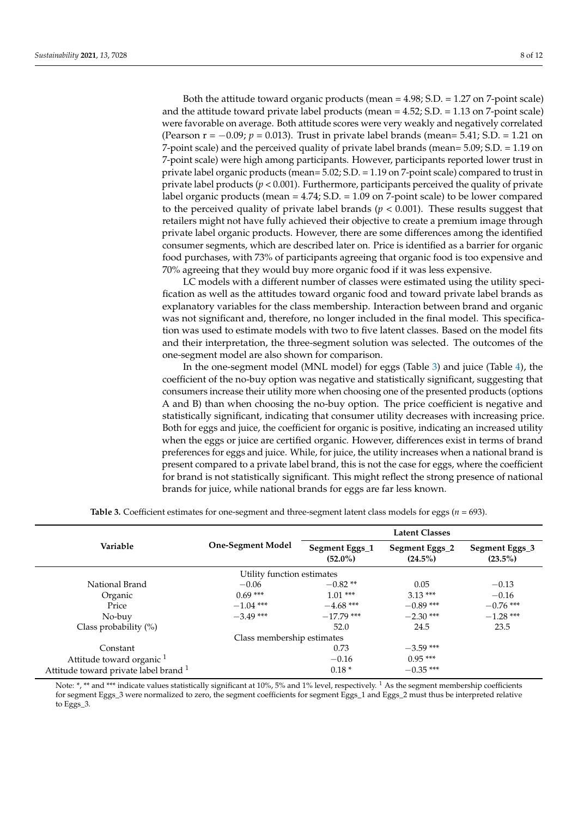Both the attitude toward organic products (mean = 4.98; S.D. = 1.27 on 7-point scale) and the attitude toward private label products (mean = 4.52; S.D. = 1.13 on 7-point scale) were favorable on average. Both attitude scores were very weakly and negatively correlated (Pearson r = −0.09; *p* = 0.013). Trust in private label brands (mean= 5.41; S.D. = 1.21 on 7-point scale) and the perceived quality of private label brands (mean= 5.09; S.D. = 1.19 on 7-point scale) were high among participants. However, participants reported lower trust in private label organic products (mean= 5.02; S.D. = 1.19 on 7-point scale) compared to trust in private label products ( $p < 0.001$ ). Furthermore, participants perceived the quality of private label organic products (mean = 4.74; S.D. = 1.09 on 7-point scale) to be lower compared to the perceived quality of private label brands  $(p < 0.001)$ . These results suggest that retailers might not have fully achieved their objective to create a premium image through private label organic products. However, there are some differences among the identified consumer segments, which are described later on. Price is identified as a barrier for organic food purchases, with 73% of participants agreeing that organic food is too expensive and 70% agreeing that they would buy more organic food if it was less expensive.

LC models with a different number of classes were estimated using the utility specification as well as the attitudes toward organic food and toward private label brands as explanatory variables for the class membership. Interaction between brand and organic was not significant and, therefore, no longer included in the final model. This specification was used to estimate models with two to five latent classes. Based on the model fits and their interpretation, the three-segment solution was selected. The outcomes of the one-segment model are also shown for comparison.

In the one-segment model (MNL model) for eggs (Table [3\)](#page-7-0) and juice (Table [4\)](#page-8-0), the coefficient of the no-buy option was negative and statistically significant, suggesting that consumers increase their utility more when choosing one of the presented products (options A and B) than when choosing the no-buy option. The price coefficient is negative and statistically significant, indicating that consumer utility decreases with increasing price. Both for eggs and juice, the coefficient for organic is positive, indicating an increased utility when the eggs or juice are certified organic. However, differences exist in terms of brand preferences for eggs and juice. While, for juice, the utility increases when a national brand is present compared to a private label brand, this is not the case for eggs, where the coefficient for brand is not statistically significant. This might reflect the strong presence of national brands for juice, while national brands for eggs are far less known.

<span id="page-7-0"></span>

|                                                |                            | <b>Latent Classes</b>        |                              |                              |  |
|------------------------------------------------|----------------------------|------------------------------|------------------------------|------------------------------|--|
| Variable                                       | <b>One-Segment Model</b>   | Segment Eggs_1<br>$(52.0\%)$ | Segment Eggs_2<br>$(24.5\%)$ | Segment Eggs_3<br>$(23.5\%)$ |  |
|                                                | Utility function estimates |                              |                              |                              |  |
| National Brand                                 | $-0.06$                    | $-0.82**$                    | 0.05                         | $-0.13$                      |  |
| Organic                                        | $0.69***$                  | $1.01***$                    | $3.13***$                    | $-0.16$                      |  |
| Price                                          | $-1.04$ ***                | $-4.68$ ***                  | $-0.89$ ***                  | $-0.76$ ***                  |  |
| No-buy                                         | $-3.49$ ***                | $-17.79$ ***                 | $-2.30$ ***                  | $-1.28$ ***                  |  |
| Class probability $(\%)$                       |                            | 52.0                         | 24.5                         | 23.5                         |  |
|                                                | Class membership estimates |                              |                              |                              |  |
| Constant                                       |                            | 0.73                         | $-3.59$ ***                  |                              |  |
| Attitude toward organic <sup>1</sup>           |                            | $-0.16$                      | $0.95***$                    |                              |  |
| Attitude toward private label brand $^{\rm 1}$ |                            | $0.18*$                      | $-0.35$ ***                  |                              |  |

**Table 3.** Coefficient estimates for one-segment and three-segment latent class models for eggs (*n* = 693).

Note: \*, \*\* and \*\*\* indicate values statistically significant at 10%, 5% and 1% level, respectively. <sup>1</sup> As the segment membership coefficients for segment Eggs\_3 were normalized to zero, the segment coefficients for segment Eggs\_1 and Eggs\_2 must thus be interpreted relative to Eggs\_3.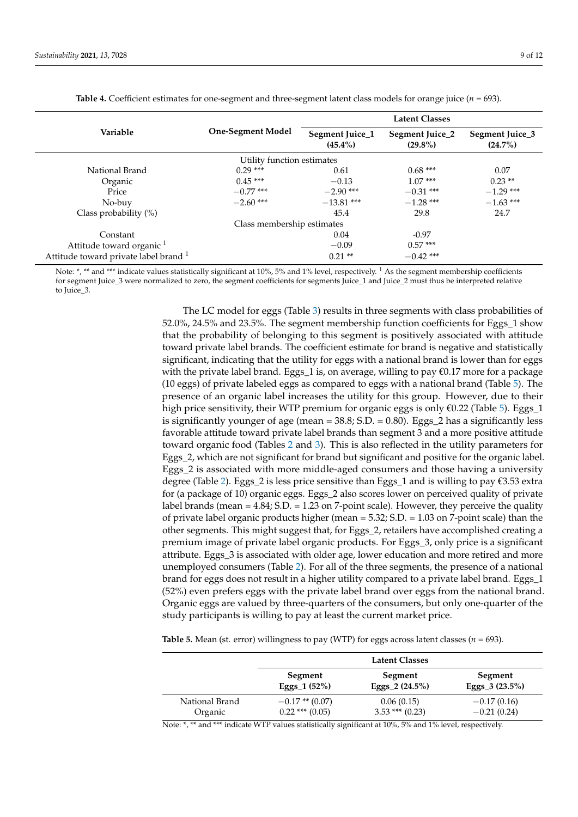<span id="page-8-0"></span>

|                                                  |                            | <b>Latent Classes</b>         |                               |                               |  |
|--------------------------------------------------|----------------------------|-------------------------------|-------------------------------|-------------------------------|--|
| Variable                                         | <b>One-Segment Model</b>   | Segment Juice_1<br>$(45.4\%)$ | Segment Juice_2<br>$(29.8\%)$ | Segment Juice_3<br>$(24.7\%)$ |  |
|                                                  | Utility function estimates |                               |                               |                               |  |
| National Brand                                   | $0.29***$                  | 0.61                          | $0.68***$                     | 0.07                          |  |
| Organic                                          | $0.45***$                  | $-0.13$                       | $1.07***$                     | $0.23**$                      |  |
| Price                                            | $-0.77$ ***                | $-2.90$ ***                   | $-0.31$ ***                   | $-1.29$ ***                   |  |
| No-buy                                           | $-2.60$ ***                | $-13.81$ ***                  | $-1.28$ ***                   | $-1.63$ ***                   |  |
| Class probability $(\%)$                         |                            | 45.4                          | 29.8                          | 24.7                          |  |
|                                                  | Class membership estimates |                               |                               |                               |  |
| Constant                                         |                            | 0.04                          | $-0.97$                       |                               |  |
| Attitude toward organic <sup>1</sup>             |                            | $-0.09$                       | $0.57***$                     |                               |  |
| Attitude toward private label brand <sup>1</sup> |                            | $0.21$ **                     | $-0.42$ ***                   |                               |  |

**Table 4.** Coefficient estimates for one-segment and three-segment latent class models for orange juice (*n* = 693).

Note: \*, \*\* and \*\*\* indicate values statistically significant at 10%, 5% and 1% level, respectively. <sup>1</sup> As the segment membership coefficients for segment Juice\_3 were normalized to zero, the segment coefficients for segments Juice\_1 and Juice\_2 must thus be interpreted relative to Juice\_3.

> The LC model for eggs (Table [3\)](#page-7-0) results in three segments with class probabilities of 52.0%, 24.5% and 23.5%. The segment membership function coefficients for Eggs\_1 show that the probability of belonging to this segment is positively associated with attitude toward private label brands. The coefficient estimate for brand is negative and statistically significant, indicating that the utility for eggs with a national brand is lower than for eggs with the private label brand. Eggs\_1 is, on average, willing to pay  $\epsilon$ 0.17 more for a package (10 eggs) of private labeled eggs as compared to eggs with a national brand (Table [5\)](#page-8-1). The presence of an organic label increases the utility for this group. However, due to their high price sensitivity, their WTP premium for organic eggs is only  $\epsilon$ 0.22 (Table [5\)](#page-8-1). Eggs\_1 is significantly younger of age (mean  $= 38.8$ ; S.D.  $= 0.80$ ). Eggs 2 has a significantly less favorable attitude toward private label brands than segment 3 and a more positive attitude toward organic food (Tables [2](#page-6-0) and [3\)](#page-7-0). This is also reflected in the utility parameters for Eggs\_2, which are not significant for brand but significant and positive for the organic label. Eggs\_2 is associated with more middle-aged consumers and those having a university degree (Table [2\)](#page-6-0). Eggs\_2 is less price sensitive than Eggs\_1 and is willing to pay  $\epsilon$ 3.53 extra for (a package of 10) organic eggs. Eggs\_2 also scores lower on perceived quality of private label brands (mean = 4.84; S.D. = 1.23 on 7-point scale). However, they perceive the quality of private label organic products higher (mean = 5.32; S.D. = 1.03 on 7-point scale) than the other segments. This might suggest that, for Eggs\_2, retailers have accomplished creating a premium image of private label organic products. For Eggs\_3, only price is a significant attribute. Eggs\_3 is associated with older age, lower education and more retired and more unemployed consumers (Table [2\)](#page-6-0). For all of the three segments, the presence of a national brand for eggs does not result in a higher utility compared to a private label brand. Eggs\_1 (52%) even prefers eggs with the private label brand over eggs from the national brand. Organic eggs are valued by three-quarters of the consumers, but only one-quarter of the study participants is willing to pay at least the current market price.

<span id="page-8-1"></span>**Table 5.** Mean (st. error) willingness to pay (WTP) for eggs across latent classes ( $n = 693$ ).

|                | <b>Latent Classes</b> |                   |                   |  |
|----------------|-----------------------|-------------------|-------------------|--|
|                | Segment               | Segment           | Segment           |  |
|                | Eggs_1 $(52%)$        | Eggs_2 $(24.5\%)$ | Eggs_3 $(23.5\%)$ |  |
| National Brand | $-0.17$ ** (0.07)     | 0.06(0.15)        | $-0.17(0.16)$     |  |
| Organic        | $0.22$ *** $(0.05)$   | $3.53$ *** (0.23) | $-0.21(0.24)$     |  |

Note: \*, \*\* and \*\*\* indicate WTP values statistically significant at 10%, 5% and 1% level, respectively.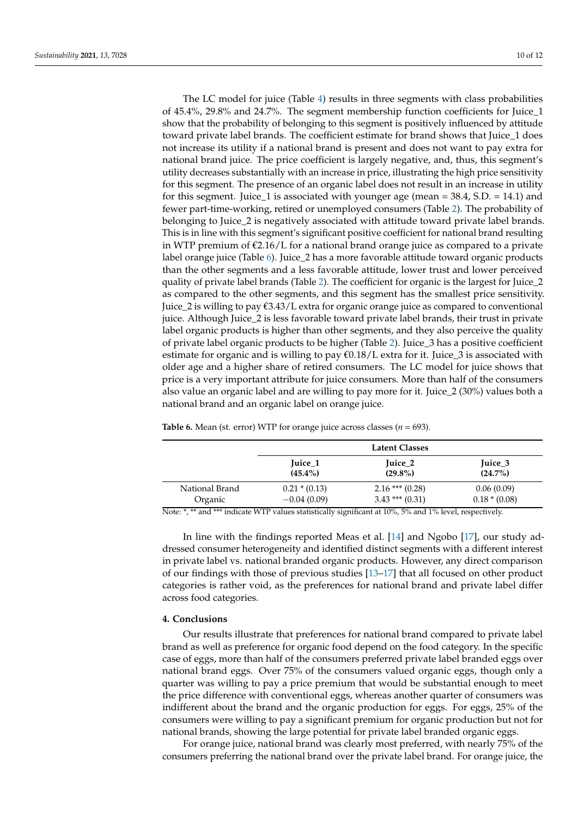The LC model for juice (Table [4\)](#page-8-0) results in three segments with class probabilities of 45.4%, 29.8% and 24.7%. The segment membership function coefficients for Juice\_1 show that the probability of belonging to this segment is positively influenced by attitude toward private label brands. The coefficient estimate for brand shows that Juice\_1 does not increase its utility if a national brand is present and does not want to pay extra for national brand juice. The price coefficient is largely negative, and, thus, this segment's utility decreases substantially with an increase in price, illustrating the high price sensitivity for this segment. The presence of an organic label does not result in an increase in utility for this segment. Juice\_1 is associated with younger age (mean  $=$  38.4, S.D.  $=$  14.1) and fewer part-time-working, retired or unemployed consumers (Table [2\)](#page-6-0). The probability of belonging to Juice\_2 is negatively associated with attitude toward private label brands. This is in line with this segment's significant positive coefficient for national brand resulting in WTP premium of  $\epsilon$ 2.16/L for a national brand orange juice as compared to a private label orange juice (Table [6\)](#page-9-0). Juice\_2 has a more favorable attitude toward organic products than the other segments and a less favorable attitude, lower trust and lower perceived quality of private label brands (Table [2\)](#page-6-0). The coefficient for organic is the largest for Juice\_2 as compared to the other segments, and this segment has the smallest price sensitivity. Juice\_2 is willing to pay  $\epsilon$ 3.43/L extra for organic orange juice as compared to conventional juice. Although Juice\_2 is less favorable toward private label brands, their trust in private label organic products is higher than other segments, and they also perceive the quality of private label organic products to be higher (Table [2\)](#page-6-0). Juice\_3 has a positive coefficient estimate for organic and is willing to pay  $\epsilon$ 0.18/L extra for it. Juice\_3 is associated with older age and a higher share of retired consumers. The LC model for juice shows that price is a very important attribute for juice consumers. More than half of the consumers also value an organic label and are willing to pay more for it. Juice\_2 (30%) values both a national brand and an organic label on orange juice.

|                | Latent Classes  |                   |               |  |
|----------------|-----------------|-------------------|---------------|--|
|                | Juice_1         | Juice 2           | Juice 3       |  |
|                | $(45.4\%)$      | $(29.8\%)$        | $(24.7\%)$    |  |
| National Brand | $0.21 * (0.13)$ | $2.16$ *** (0.28) | 0.06(0.09)    |  |
| Organic        | $-0.04(0.09)$   | $3.43$ *** (0.31) | $0.18*(0.08)$ |  |

<span id="page-9-0"></span>**Table 6.** Mean (st. error) WTP for orange juice across classes ( $n = 693$ ).

Note: \*, \*\* and \*\*\* indicate WTP values statistically significant at 10%, 5% and 1% level, respectively.

In line with the findings reported Meas et al. [\[14\]](#page-11-6) and Ngobo [\[17\]](#page-11-5), our study addressed consumer heterogeneity and identified distinct segments with a different interest in private label vs. national branded organic products. However, any direct comparison of our findings with those of previous studies [\[13–](#page-11-4)[17\]](#page-11-5) that all focused on other product categories is rather void, as the preferences for national brand and private label differ across food categories.

# **4. Conclusions**

Our results illustrate that preferences for national brand compared to private label brand as well as preference for organic food depend on the food category. In the specific case of eggs, more than half of the consumers preferred private label branded eggs over national brand eggs. Over 75% of the consumers valued organic eggs, though only a quarter was willing to pay a price premium that would be substantial enough to meet the price difference with conventional eggs, whereas another quarter of consumers was indifferent about the brand and the organic production for eggs. For eggs, 25% of the consumers were willing to pay a significant premium for organic production but not for national brands, showing the large potential for private label branded organic eggs.

For orange juice, national brand was clearly most preferred, with nearly 75% of the consumers preferring the national brand over the private label brand. For orange juice, the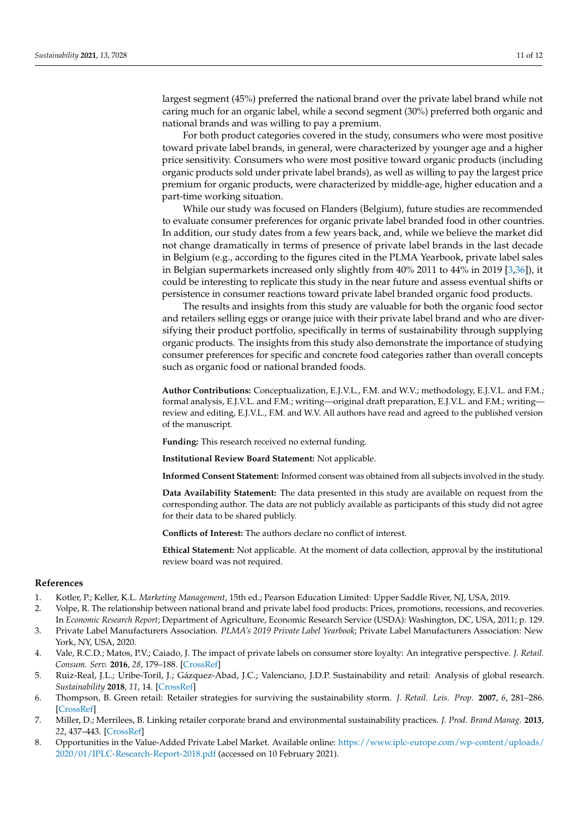largest segment (45%) preferred the national brand over the private label brand while not caring much for an organic label, while a second segment (30%) preferred both organic and national brands and was willing to pay a premium.

For both product categories covered in the study, consumers who were most positive toward private label brands, in general, were characterized by younger age and a higher price sensitivity. Consumers who were most positive toward organic products (including organic products sold under private label brands), as well as willing to pay the largest price premium for organic products, were characterized by middle-age, higher education and a part-time working situation.

While our study was focused on Flanders (Belgium), future studies are recommended to evaluate consumer preferences for organic private label branded food in other countries. In addition, our study dates from a few years back, and, while we believe the market did not change dramatically in terms of presence of private label brands in the last decade in Belgium (e.g., according to the figures cited in the PLMA Yearbook, private label sales in Belgian supermarkets increased only slightly from 40% 2011 to 44% in 2019 [\[3](#page-10-2)[,36\]](#page-11-23)), it could be interesting to replicate this study in the near future and assess eventual shifts or persistence in consumer reactions toward private label branded organic food products.

The results and insights from this study are valuable for both the organic food sector and retailers selling eggs or orange juice with their private label brand and who are diversifying their product portfolio, specifically in terms of sustainability through supplying organic products. The insights from this study also demonstrate the importance of studying consumer preferences for specific and concrete food categories rather than overall concepts such as organic food or national branded foods.

**Author Contributions:** Conceptualization, E.J.V.L., F.M. and W.V.; methodology, E.J.V.L. and F.M.; formal analysis, E.J.V.L. and F.M.; writing—original draft preparation, E.J.V.L. and F.M.; writing review and editing, E.J.V.L., F.M. and W.V. All authors have read and agreed to the published version of the manuscript.

**Funding:** This research received no external funding.

**Institutional Review Board Statement:** Not applicable.

**Informed Consent Statement:** Informed consent was obtained from all subjects involved in the study.

**Data Availability Statement:** The data presented in this study are available on request from the corresponding author. The data are not publicly available as participants of this study did not agree for their data to be shared publicly.

**Conflicts of Interest:** The authors declare no conflict of interest.

**Ethical Statement:** Not applicable. At the moment of data collection, approval by the institutional review board was not required.

#### **References**

- <span id="page-10-0"></span>1. Kotler, P.; Keller, K.L. *Marketing Management*, 15th ed.; Pearson Education Limited: Upper Saddle River, NJ, USA, 2019.
- <span id="page-10-1"></span>2. Volpe, R. The relationship between national brand and private label food products: Prices, promotions, recessions, and recoveries. In *Economic Research Report*; Department of Agriculture, Economic Research Service (USDA): Washington, DC, USA, 2011; p. 129.
- <span id="page-10-2"></span>3. Private Label Manufacturers Association. *PLMA's 2019 Private Label Yearbook*; Private Label Manufacturers Association: New York, NY, USA, 2020.
- <span id="page-10-3"></span>4. Vale, R.C.D.; Matos, P.V.; Caiado, J. The impact of private labels on consumer store loyalty: An integrative perspective. *J. Retail. Consum. Serv.* **2016**, *28*, 179–188. [\[CrossRef\]](http://doi.org/10.1016/j.jretconser.2015.10.003)
- <span id="page-10-4"></span>5. Ruiz-Real, J.L.; Uribe-Toril, J.; Gázquez-Abad, J.C.; Valenciano, J.D.P. Sustainability and retail: Analysis of global research. *Sustainability* **2018**, *11*, 14. [\[CrossRef\]](http://doi.org/10.3390/su11010014)
- <span id="page-10-5"></span>6. Thompson, B. Green retail: Retailer strategies for surviving the sustainability storm. *J. Retail. Leis. Prop.* **2007**, *6*, 281–286. [\[CrossRef\]](http://doi.org/10.1057/palgrave.rlp.5100079)
- <span id="page-10-6"></span>7. Miller, D.; Merrilees, B. Linking retailer corporate brand and environmental sustainability practices. *J. Prod. Brand Manag.* **2013**, *22*, 437–443. [\[CrossRef\]](http://doi.org/10.1108/JPBM-09-2013-0379)
- <span id="page-10-7"></span>8. Opportunities in the Value-Added Private Label Market. Available online: [https://www.iplc-europe.com/wp-content/uploads/](https://www.iplc-europe.com/wp-content/uploads/2020/01/IPLC-Research-Report-2018.pdf) [2020/01/IPLC-Research-Report-2018.pdf](https://www.iplc-europe.com/wp-content/uploads/2020/01/IPLC-Research-Report-2018.pdf) (accessed on 10 February 2021).